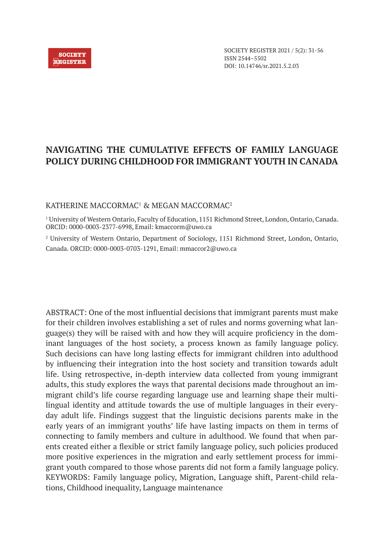# **NAVIGATING THE CUMULATIVE EFFECTS OF FAMILY LANGUAGE POLICY DURING CHILDHOOD FOR IMMIGRANT YOUTH IN CANADA**

# KATHERINE MACCORMAC<sup>1</sup> & MEGAN MACCORMAC<sup>2</sup>

1 University of Western Ontario, Faculty of Education, 1151 Richmond Street, London, Ontario, Canada. ORCID: 0000-0003-2377-6998, Email: kmaccorm@uwo.ca

<sup>2</sup> University of Western Ontario, Department of Sociology, 1151 Richmond Street, London, Ontario, Canada. ORCID: 0000-0003-0703-1291, Email: mmaccor2@uwo.ca

ABSTRACT: One of the most influential decisions that immigrant parents must make for their children involves establishing a set of rules and norms governing what language(s) they will be raised with and how they will acquire proficiency in the dominant languages of the host society, a process known as family language policy. Such decisions can have long lasting effects for immigrant children into adulthood by influencing their integration into the host society and transition towards adult life. Using retrospective, in-depth interview data collected from young immigrant adults, this study explores the ways that parental decisions made throughout an immigrant child's life course regarding language use and learning shape their multilingual identity and attitude towards the use of multiple languages in their everyday adult life. Findings suggest that the linguistic decisions parents make in the early years of an immigrant youths' life have lasting impacts on them in terms of connecting to family members and culture in adulthood. We found that when parents created either a flexible or strict family language policy, such policies produced more positive experiences in the migration and early settlement process for immigrant youth compared to those whose parents did not form a family language policy. KEYWORDS: Family language policy, Migration, Language shift, Parent-child relations, Childhood inequality, Language maintenance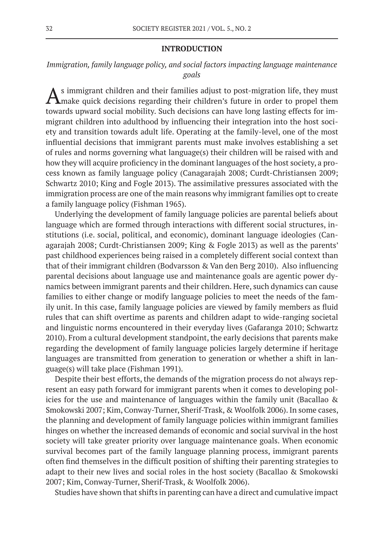#### **INTRODUCTION**

*Immigration, family language policy, and social factors impacting language maintenance goals*

 $A$ s immigrant children and their families adjust to post-migration life, they must make quick decisions regarding their children's future in order to propel them towards upward social mobility. Such decisions can have long lasting effects for immigrant children into adulthood by influencing their integration into the host society and transition towards adult life. Operating at the family-level, one of the most influential decisions that immigrant parents must make involves establishing a set of rules and norms governing what language(s) their children will be raised with and how they will acquire proficiency in the dominant languages of the host society, a process known as family language policy (Canagarajah 2008; Curdt-Christiansen 2009; Schwartz 2010; King and Fogle 2013). The assimilative pressures associated with the immigration process are one of the main reasons why immigrant families opt to create a family language policy (Fishman 1965).

Underlying the development of family language policies are parental beliefs about language which are formed through interactions with different social structures, institutions (i.e. social, political, and economic), dominant language ideologies (Canagarajah 2008; Curdt-Christiansen 2009; King & Fogle 2013) as well as the parents' past childhood experiences being raised in a completely different social context than that of their immigrant children (Bodvarsson & Van den Berg 2010). Also influencing parental decisions about language use and maintenance goals are agentic power dynamics between immigrant parents and their children. Here, such dynamics can cause families to either change or modify language policies to meet the needs of the family unit. In this case, family language policies are viewed by family members as fluid rules that can shift overtime as parents and children adapt to wide-ranging societal and linguistic norms encountered in their everyday lives (Gafaranga 2010; Schwartz 2010). From a cultural development standpoint, the early decisions that parents make regarding the development of family language policies largely determine if heritage languages are transmitted from generation to generation or whether a shift in language(s) will take place (Fishman 1991).

Despite their best efforts, the demands of the migration process do not always represent an easy path forward for immigrant parents when it comes to developing policies for the use and maintenance of languages within the family unit (Bacallao & Smokowski 2007; Kim, Conway-Turner, Sherif-Trask, & Woolfolk 2006). In some cases, the planning and development of family language policies within immigrant families hinges on whether the increased demands of economic and social survival in the host society will take greater priority over language maintenance goals. When economic survival becomes part of the family language planning process, immigrant parents often find themselves in the difficult position of shifting their parenting strategies to adapt to their new lives and social roles in the host society (Bacallao & Smokowski 2007; Kim, Conway-Turner, Sherif-Trask, & Woolfolk 2006).

Studies have shown that shifts in parenting can have a direct and cumulative impact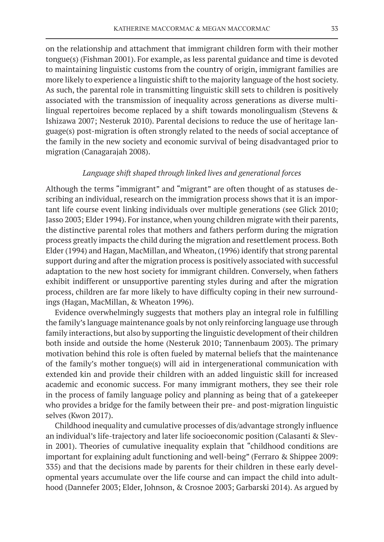on the relationship and attachment that immigrant children form with their mother tongue(s) (Fishman 2001). For example, as less parental guidance and time is devoted to maintaining linguistic customs from the country of origin, immigrant families are more likely to experience a linguistic shift to the majority language of the host society. As such, the parental role in transmitting linguistic skill sets to children is positively associated with the transmission of inequality across generations as diverse multilingual repertoires become replaced by a shift towards monolingualism (Stevens & Ishizawa 2007; Nesteruk 2010). Parental decisions to reduce the use of heritage language(s) post-migration is often strongly related to the needs of social acceptance of the family in the new society and economic survival of being disadvantaged prior to migration (Canagarajah 2008).

# *Language shift shaped through linked lives and generational forces*

Although the terms "immigrant" and "migrant" are often thought of as statuses describing an individual, research on the immigration process shows that it is an important life course event linking individuals over multiple generations (see Glick 2010; Jasso 2003; Elder 1994). For instance, when young children migrate with their parents, the distinctive parental roles that mothers and fathers perform during the migration process greatly impacts the child during the migration and resettlement process. Both Elder (1994) and Hagan, MacMillan, and Wheaton, (1996) identify that strong parental support during and after the migration process is positively associated with successful adaptation to the new host society for immigrant children. Conversely, when fathers exhibit indifferent or unsupportive parenting styles during and after the migration process, children are far more likely to have difficulty coping in their new surroundings (Hagan, MacMillan, & Wheaton 1996).

Evidence overwhelmingly suggests that mothers play an integral role in fulfilling the family's language maintenance goals by not only reinforcing language use through family interactions, but also by supporting the linguistic development of their children both inside and outside the home (Nesteruk 2010; Tannenbaum 2003). The primary motivation behind this role is often fueled by maternal beliefs that the maintenance of the family's mother tongue(s) will aid in intergenerational communication with extended kin and provide their children with an added linguistic skill for increased academic and economic success. For many immigrant mothers, they see their role in the process of family language policy and planning as being that of a gatekeeper who provides a bridge for the family between their pre- and post-migration linguistic selves (Kwon 2017).

Childhood inequality and cumulative processes of dis/advantage strongly influence an individual's life-trajectory and later life socioeconomic position (Calasanti & Slevin 2001). Theories of cumulative inequality explain that "childhood conditions are important for explaining adult functioning and well-being" (Ferraro & Shippee 2009: 335) and that the decisions made by parents for their children in these early developmental years accumulate over the life course and can impact the child into adulthood (Dannefer 2003; Elder, Johnson, & Crosnoe 2003; Garbarski 2014). As argued by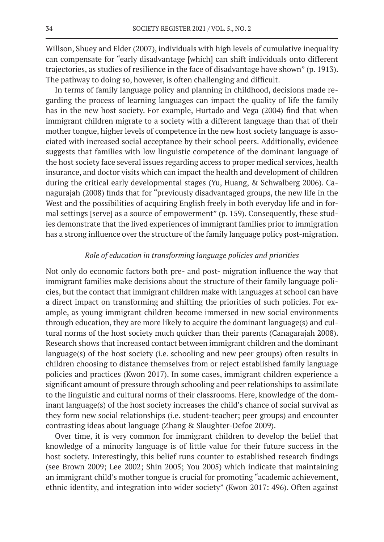Willson, Shuey and Elder (2007), individuals with high levels of cumulative inequality can compensate for "early disadvantage [which] can shift individuals onto different trajectories, as studies of resilience in the face of disadvantage have shown" (p. 1913). The pathway to doing so, however, is often challenging and difficult.

In terms of family language policy and planning in childhood, decisions made regarding the process of learning languages can impact the quality of life the family has in the new host society. For example, Hurtado and Vega (2004) find that when immigrant children migrate to a society with a different language than that of their mother tongue, higher levels of competence in the new host society language is associated with increased social acceptance by their school peers. Additionally, evidence suggests that families with low linguistic competence of the dominant language of the host society face several issues regarding access to proper medical services, health insurance, and doctor visits which can impact the health and development of children during the critical early developmental stages (Yu, Huang, & Schwalberg 2006). Canagurajah (2008) finds that for "previously disadvantaged groups, the new life in the West and the possibilities of acquiring English freely in both everyday life and in formal settings [serve] as a source of empowerment" (p. 159). Consequently, these studies demonstrate that the lived experiences of immigrant families prior to immigration has a strong influence over the structure of the family language policy post-migration.

# *Role of education in transforming language policies and priorities*

Not only do economic factors both pre- and post- migration influence the way that immigrant families make decisions about the structure of their family language policies, but the contact that immigrant children make with languages at school can have a direct impact on transforming and shifting the priorities of such policies. For example, as young immigrant children become immersed in new social environments through education, they are more likely to acquire the dominant language(s) and cultural norms of the host society much quicker than their parents (Canagarajah 2008). Research shows that increased contact between immigrant children and the dominant language(s) of the host society (i.e. schooling and new peer groups) often results in children choosing to distance themselves from or reject established family language policies and practices (Kwon 2017). In some cases, immigrant children experience a significant amount of pressure through schooling and peer relationships to assimilate to the linguistic and cultural norms of their classrooms. Here, knowledge of the dominant language(s) of the host society increases the child's chance of social survival as they form new social relationships (i.e. student-teacher; peer groups) and encounter contrasting ideas about language (Zhang & Slaughter-Defoe 2009).

Over time, it is very common for immigrant children to develop the belief that knowledge of a minority language is of little value for their future success in the host society. Interestingly, this belief runs counter to established research findings (see Brown 2009; Lee 2002; Shin 2005; You 2005) which indicate that maintaining an immigrant child's mother tongue is crucial for promoting "academic achievement, ethnic identity, and integration into wider society" (Kwon 2017: 496). Often against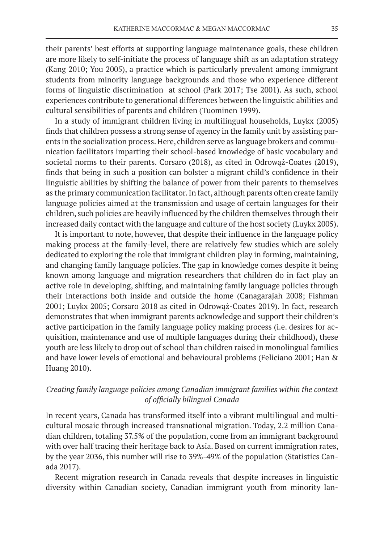their parents' best efforts at supporting language maintenance goals, these children are more likely to self-initiate the process of language shift as an adaptation strategy (Kang 2010; You 2005), a practice which is particularly prevalent among immigrant students from minority language backgrounds and those who experience different forms of linguistic discrimination at school (Park 2017; Tse 2001). As such, school experiences contribute to generational differences between the linguistic abilities and cultural sensibilities of parents and children (Tuominen 1999).

In a study of immigrant children living in multilingual households, Luykx (2005) finds that children possess a strong sense of agency in the family unit by assisting parents in the socialization process. Here, children serve as language brokers and communication facilitators imparting their school-based knowledge of basic vocabulary and societal norms to their parents. Corsaro (2018), as cited in Odrowąż-Coates (2019), finds that being in such a position can bolster a migrant child's confidence in their linguistic abilities by shifting the balance of power from their parents to themselves as the primary communication facilitator. In fact, although parents often create family language policies aimed at the transmission and usage of certain languages for their children, such policies are heavily influenced by the children themselves through their increased daily contact with the language and culture of the host society (Luykx 2005).

It is important to note, however, that despite their influence in the language policy making process at the family-level, there are relatively few studies which are solely dedicated to exploring the role that immigrant children play in forming, maintaining, and changing family language policies. The gap in knowledge comes despite it being known among language and migration researchers that children do in fact play an active role in developing, shifting, and maintaining family language policies through their interactions both inside and outside the home (Canagarajah 2008; Fishman 2001; Luykx 2005; Corsaro 2018 as cited in Odrowąż-Coates 2019). In fact, research demonstrates that when immigrant parents acknowledge and support their children's active participation in the family language policy making process (i.e. desires for acquisition, maintenance and use of multiple languages during their childhood), these youth are less likely to drop out of school than children raised in monolingual families and have lower levels of emotional and behavioural problems (Feliciano 2001; Han & Huang 2010).

# *Creating family language policies among Canadian immigrant families within the context of officially bilingual Canada*

In recent years, Canada has transformed itself into a vibrant multilingual and multicultural mosaic through increased transnational migration. Today, 2.2 million Canadian children, totaling 37.5% of the population, come from an immigrant background with over half tracing their heritage back to Asia. Based on current immigration rates, by the year 2036, this number will rise to 39%-49% of the population (Statistics Canada 2017).

Recent migration research in Canada reveals that despite increases in linguistic diversity within Canadian society, Canadian immigrant youth from minority lan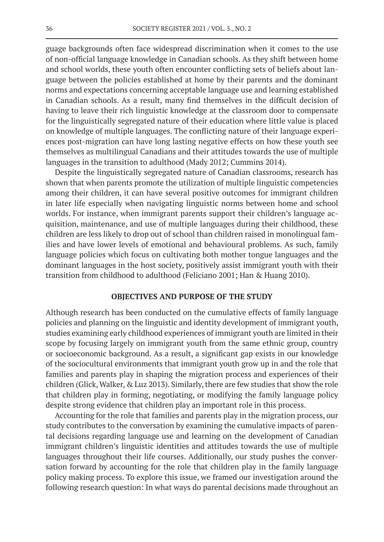guage backgrounds often face widespread discrimination when it comes to the use of non-official language knowledge in Canadian schools. As they shift between home and school worlds, these youth often encounter conflicting sets of beliefs about language between the policies established at home by their parents and the dominant norms and expectations concerning acceptable language use and learning established in Canadian schools. As a result, many find themselves in the difficult decision of having to leave their rich linguistic knowledge at the classroom door to compensate for the linguistically segregated nature of their education where little value is placed on knowledge of multiple languages. The conflicting nature of their language experiences post-migration can have long lasting negative effects on how these youth see themselves as multilingual Canadians and their attitudes towards the use of multiple languages in the transition to adulthood (Mady 2012; Cummins 2014).

Despite the linguistically segregated nature of Canadian classrooms, research has shown that when parents promote the utilization of multiple linguistic competencies among their children, it can have several positive outcomes for immigrant children in later life especially when navigating linguistic norms between home and school worlds. For instance, when immigrant parents support their children's language acquisition, maintenance, and use of multiple languages during their childhood, these children are less likely to drop out of school than children raised in monolingual families and have lower levels of emotional and behavioural problems. As such, family language policies which focus on cultivating both mother tongue languages and the dominant languages in the host society, positively assist immigrant youth with their transition from childhood to adulthood (Feliciano 2001; Han & Huang 2010).

#### **OBJECTIVES AND PURPOSE OF THE STUDY**

Although research has been conducted on the cumulative effects of family language policies and planning on the linguistic and identity development of immigrant youth, studies examining early childhood experiences of immigrant youth are limited in their scope by focusing largely on immigrant youth from the same ethnic group, country or socioeconomic background. As a result, a significant gap exists in our knowledge of the sociocultural environments that immigrant youth grow up in and the role that families and parents play in shaping the migration process and experiences of their children (Glick, Walker, & Luz 2013). Similarly, there are few studies that show the role that children play in forming, negotiating, or modifying the family language policy despite strong evidence that children play an important role in this process.

Accounting for the role that families and parents play in the migration process, our study contributes to the conversation by examining the cumulative impacts of parental decisions regarding language use and learning on the development of Canadian immigrant children's linguistic identities and attitudes towards the use of multiple languages throughout their life courses. Additionally, our study pushes the conversation forward by accounting for the role that children play in the family language policy making process. To explore this issue, we framed our investigation around the following research question: In what ways do parental decisions made throughout an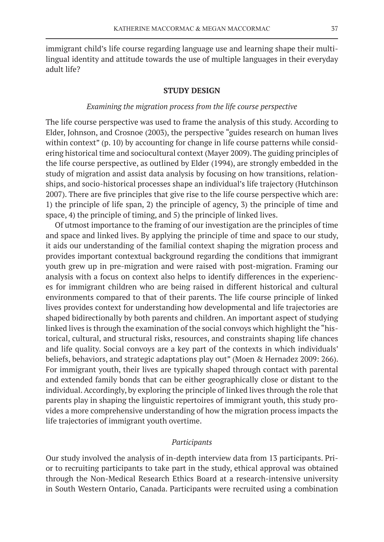immigrant child's life course regarding language use and learning shape their multilingual identity and attitude towards the use of multiple languages in their everyday adult life?

# **STUDY DESIGN**

# *Examining the migration process from the life course perspective*

The life course perspective was used to frame the analysis of this study. According to Elder, Johnson, and Crosnoe (2003), the perspective "guides research on human lives within context" (p. 10) by accounting for change in life course patterns while considering historical time and sociocultural context (Mayer 2009). The guiding principles of the life course perspective, as outlined by Elder (1994), are strongly embedded in the study of migration and assist data analysis by focusing on how transitions, relationships, and socio-historical processes shape an individual's life trajectory (Hutchinson 2007). There are five principles that give rise to the life course perspective which are: 1) the principle of life span, 2) the principle of agency, 3) the principle of time and space, 4) the principle of timing, and 5) the principle of linked lives.

Of utmost importance to the framing of our investigation are the principles of time and space and linked lives. By applying the principle of time and space to our study, it aids our understanding of the familial context shaping the migration process and provides important contextual background regarding the conditions that immigrant youth grew up in pre-migration and were raised with post-migration. Framing our analysis with a focus on context also helps to identify differences in the experiences for immigrant children who are being raised in different historical and cultural environments compared to that of their parents. The life course principle of linked lives provides context for understanding how developmental and life trajectories are shaped bidirectionally by both parents and children. An important aspect of studying linked lives is through the examination of the social convoys which highlight the "historical, cultural, and structural risks, resources, and constraints shaping life chances and life quality. Social convoys are a key part of the contexts in which individuals' beliefs, behaviors, and strategic adaptations play out" (Moen & Hernadez 2009: 266). For immigrant youth, their lives are typically shaped through contact with parental and extended family bonds that can be either geographically close or distant to the individual. Accordingly, by exploring the principle of linked lives through the role that parents play in shaping the linguistic repertoires of immigrant youth, this study provides a more comprehensive understanding of how the migration process impacts the life trajectories of immigrant youth overtime.

# *Participants*

Our study involved the analysis of in-depth interview data from 13 participants. Prior to recruiting participants to take part in the study, ethical approval was obtained through the Non-Medical Research Ethics Board at a research-intensive university in South Western Ontario, Canada. Participants were recruited using a combination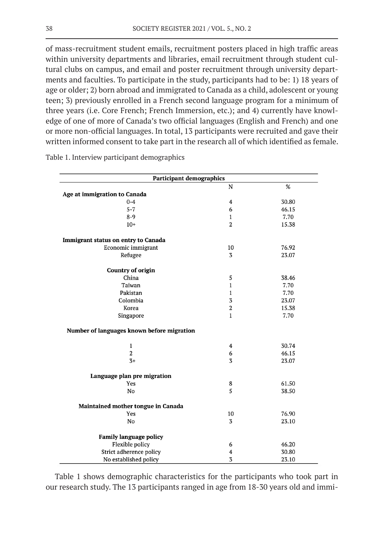of mass-recruitment student emails, recruitment posters placed in high traffic areas within university departments and libraries, email recruitment through student cultural clubs on campus, and email and poster recruitment through university departments and faculties. To participate in the study, participants had to be: 1) 18 years of age or older; 2) born abroad and immigrated to Canada as a child, adolescent or young teen; 3) previously enrolled in a French second language program for a minimum of three years (i.e. Core French; French Immersion, etc.); and 4) currently have knowledge of one of more of Canada's two official languages (English and French) and one or more non-official languages. In total, 13 participants were recruited and gave their written informed consent to take part in the research all of which identified as female.

| <b>Participant demographics</b>            |                |       |  |  |
|--------------------------------------------|----------------|-------|--|--|
|                                            | ${\bf N}$      | %     |  |  |
| Age at immigration to Canada               |                |       |  |  |
| $0 - 4$                                    | $\overline{4}$ | 30.80 |  |  |
| $5 - 7$                                    | 6              | 46.15 |  |  |
| $8 - 9$                                    | 1              | 7.70  |  |  |
| $10+$                                      | 2              | 15.38 |  |  |
| Immigrant status on entry to Canada        |                |       |  |  |
| Economic immigrant                         | 10             | 76.92 |  |  |
| Refugee                                    | 3              | 23.07 |  |  |
| <b>Country of origin</b>                   |                |       |  |  |
| China                                      | 5              | 38.46 |  |  |
| Taiwan                                     | $\mathbf{1}$   | 7.70  |  |  |
| Pakistan                                   | $\mathbf{1}$   | 7.70  |  |  |
| Colombia                                   | 3              | 23.07 |  |  |
| Korea                                      | 2              | 15.38 |  |  |
| Singapore                                  | $\mathbf{1}$   | 7.70  |  |  |
| Number of languages known before migration |                |       |  |  |
| $\mathbf{1}$                               | 4              | 30.74 |  |  |
| $\overline{2}$                             | 6              | 46.15 |  |  |
| $3+$                                       | 3              | 23.07 |  |  |
| Language plan pre migration                |                |       |  |  |
| Yes                                        | 8              | 61.50 |  |  |
| No                                         | 5              | 38.50 |  |  |
| Maintained mother tongue in Canada         |                |       |  |  |
| Yes                                        | 10             | 76.90 |  |  |
| No                                         | 3              | 23.10 |  |  |
| <b>Family language policy</b>              |                |       |  |  |
| Flexible policy                            | 6              | 46.20 |  |  |
| Strict adherence policy                    | 4              | 30.80 |  |  |
| No established policy                      | 3              | 23.10 |  |  |

Table 1. Interview participant demographics

Table 1 shows demographic characteristics for the participants who took part in our research study. The 13 participants ranged in age from 18-30 years old and immi-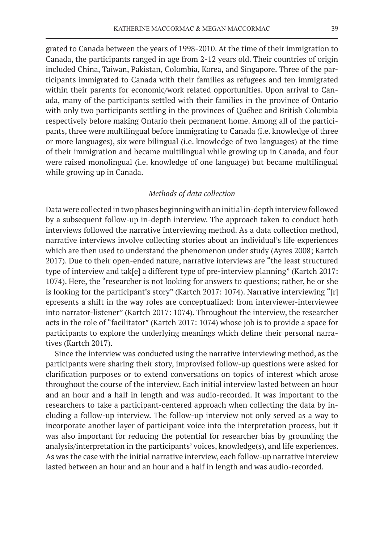grated to Canada between the years of 1998-2010. At the time of their immigration to Canada, the participants ranged in age from 2-12 years old. Their countries of origin included China, Taiwan, Pakistan, Colombia, Korea, and Singapore. Three of the participants immigrated to Canada with their families as refugees and ten immigrated within their parents for economic/work related opportunities. Upon arrival to Canada, many of the participants settled with their families in the province of Ontario with only two participants settling in the provinces of Québec and British Columbia respectively before making Ontario their permanent home. Among all of the participants, three were multilingual before immigrating to Canada (i.e. knowledge of three or more languages), six were bilingual (i.e. knowledge of two languages) at the time of their immigration and became multilingual while growing up in Canada, and four were raised monolingual (i.e. knowledge of one language) but became multilingual while growing up in Canada.

# *Methods of data collection*

Data were collected in two phases beginning with an initial in-depth interview followed by a subsequent follow-up in-depth interview. The approach taken to conduct both interviews followed the narrative interviewing method. As a data collection method, narrative interviews involve collecting stories about an individual's life experiences which are then used to understand the phenomenon under study (Ayres 2008; Kartch 2017). Due to their open-ended nature, narrative interviews are "the least structured type of interview and tak[e] a different type of pre-interview planning" (Kartch 2017: 1074). Here, the "researcher is not looking for answers to questions; rather, he or she is looking for the participant's story" (Kartch 2017: 1074). Narrative interviewing "[r] epresents a shift in the way roles are conceptualized: from interviewer-interviewee into narrator-listener" (Kartch 2017: 1074). Throughout the interview, the researcher acts in the role of "facilitator" (Kartch 2017: 1074) whose job is to provide a space for participants to explore the underlying meanings which define their personal narratives (Kartch 2017).

Since the interview was conducted using the narrative interviewing method, as the participants were sharing their story, improvised follow-up questions were asked for clarification purposes or to extend conversations on topics of interest which arose throughout the course of the interview. Each initial interview lasted between an hour and an hour and a half in length and was audio-recorded. It was important to the researchers to take a participant-centered approach when collecting the data by including a follow-up interview. The follow-up interview not only served as a way to incorporate another layer of participant voice into the interpretation process, but it was also important for reducing the potential for researcher bias by grounding the analysis/interpretation in the participants' voices, knowledge(s), and life experiences. As was the case with the initial narrative interview, each follow-up narrative interview lasted between an hour and an hour and a half in length and was audio-recorded.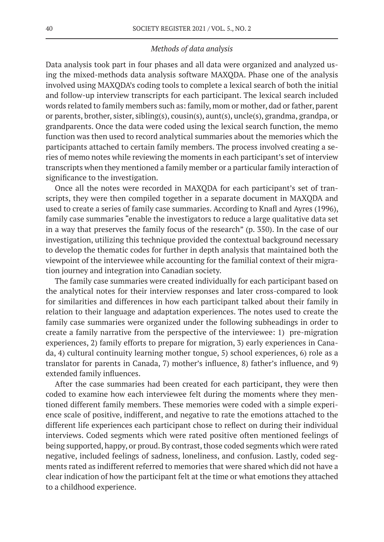# *Methods of data analysis*

Data analysis took part in four phases and all data were organized and analyzed using the mixed-methods data analysis software MAXQDA. Phase one of the analysis involved using MAXQDA's coding tools to complete a lexical search of both the initial and follow-up interview transcripts for each participant. The lexical search included words related to family members such as: family, mom or mother, dad or father, parent or parents, brother, sister, sibling(s), cousin(s), aunt(s), uncle(s), grandma, grandpa, or grandparents. Once the data were coded using the lexical search function, the memo function was then used to record analytical summaries about the memories which the participants attached to certain family members. The process involved creating a series of memo notes while reviewing the moments in each participant's set of interview transcripts when they mentioned a family member or a particular family interaction of significance to the investigation.

Once all the notes were recorded in MAXQDA for each participant's set of transcripts, they were then compiled together in a separate document in MAXQDA and used to create a series of family case summaries. According to Knafl and Ayres (1996), family case summaries "enable the investigators to reduce a large qualitative data set in a way that preserves the family focus of the research" (p. 350). In the case of our investigation, utilizing this technique provided the contextual background necessary to develop the thematic codes for further in depth analysis that maintained both the viewpoint of the interviewee while accounting for the familial context of their migration journey and integration into Canadian society.

The family case summaries were created individually for each participant based on the analytical notes for their interview responses and later cross-compared to look for similarities and differences in how each participant talked about their family in relation to their language and adaptation experiences. The notes used to create the family case summaries were organized under the following subheadings in order to create a family narrative from the perspective of the interviewee: 1) pre-migration experiences, 2) family efforts to prepare for migration, 3) early experiences in Canada, 4) cultural continuity learning mother tongue, 5) school experiences, 6) role as a translator for parents in Canada, 7) mother's influence, 8) father's influence, and 9) extended family influences.

After the case summaries had been created for each participant, they were then coded to examine how each interviewee felt during the moments where they mentioned different family members. These memories were coded with a simple experience scale of positive, indifferent, and negative to rate the emotions attached to the different life experiences each participant chose to reflect on during their individual interviews. Coded segments which were rated positive often mentioned feelings of being supported, happy, or proud. By contrast, those coded segments which were rated negative, included feelings of sadness, loneliness, and confusion. Lastly, coded segments rated as indifferent referred to memories that were shared which did not have a clear indication of how the participant felt at the time or what emotions they attached to a childhood experience.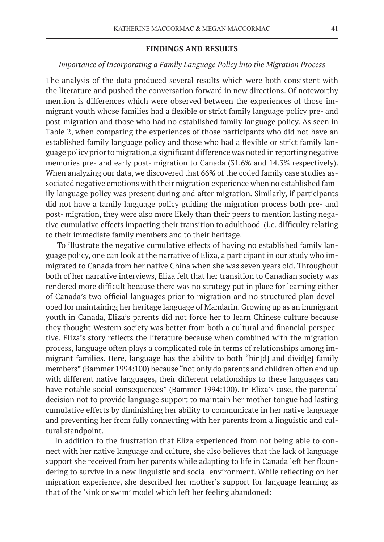#### **FINDINGS AND RESULTS**

# *Importance of Incorporating a Family Language Policy into the Migration Process*

The analysis of the data produced several results which were both consistent with the literature and pushed the conversation forward in new directions. Of noteworthy mention is differences which were observed between the experiences of those immigrant youth whose families had a flexible or strict family language policy pre- and post-migration and those who had no established family language policy. As seen in Table 2, when comparing the experiences of those participants who did not have an established family language policy and those who had a flexible or strict family language policy prior to migration, a significant difference was noted in reporting negative memories pre- and early post- migration to Canada (31.6% and 14.3% respectively). When analyzing our data, we discovered that 66% of the coded family case studies associated negative emotions with their migration experience when no established family language policy was present during and after migration. Similarly, if participants did not have a family language policy guiding the migration process both pre- and post- migration, they were also more likely than their peers to mention lasting negative cumulative effects impacting their transition to adulthood (i.e. difficulty relating to their immediate family members and to their heritage.

To illustrate the negative cumulative effects of having no established family language policy, one can look at the narrative of Eliza, a participant in our study who immigrated to Canada from her native China when she was seven years old. Throughout both of her narrative interviews, Eliza felt that her transition to Canadian society was rendered more difficult because there was no strategy put in place for learning either of Canada's two official languages prior to migration and no structured plan developed for maintaining her heritage language of Mandarin. Growing up as an immigrant youth in Canada, Eliza's parents did not force her to learn Chinese culture because they thought Western society was better from both a cultural and financial perspective. Eliza's story reflects the literature because when combined with the migration process, language often plays a complicated role in terms of relationships among immigrant families. Here, language has the ability to both "bin[d] and divid[e] family members" (Bammer 1994:100) because "not only do parents and children often end up with different native languages, their different relationships to these languages can have notable social consequences" (Bammer 1994:100). In Eliza's case, the parental decision not to provide language support to maintain her mother tongue had lasting cumulative effects by diminishing her ability to communicate in her native language and preventing her from fully connecting with her parents from a linguistic and cultural standpoint.

In addition to the frustration that Eliza experienced from not being able to connect with her native language and culture, she also believes that the lack of language support she received from her parents while adapting to life in Canada left her floundering to survive in a new linguistic and social environment. While reflecting on her migration experience, she described her mother's support for language learning as that of the 'sink or swim' model which left her feeling abandoned: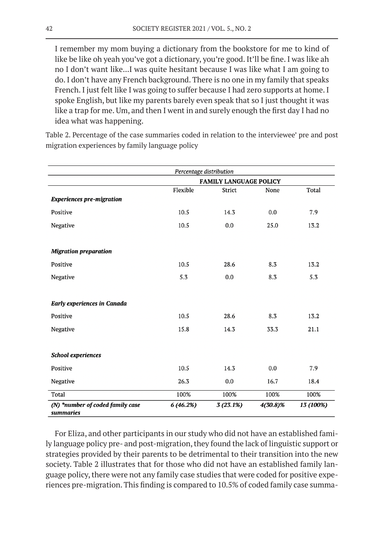I remember my mom buying a dictionary from the bookstore for me to kind of like be like oh yeah you've got a dictionary, you're good. It'll be fine. I was like ah no I don't want like...I was quite hesitant because I was like what I am going to do. I don't have any French background. There is no one in my family that speaks French. I just felt like I was going to suffer because I had zero supports at home. I spoke English, but like my parents barely even speak that so I just thought it was like a trap for me. Um, and then I went in and surely enough the first day I had no idea what was happening.

Table 2. Percentage of the case summaries coded in relation to the interviewee' pre and post migration experiences by family language policy

| Percentage distribution                       |                               |          |          |           |
|-----------------------------------------------|-------------------------------|----------|----------|-----------|
|                                               | <b>FAMILY LANGUAGE POLICY</b> |          |          |           |
|                                               | Flexible                      | Strict   | None     | Total     |
| <b>Experiences pre-migration</b>              |                               |          |          |           |
| Positive                                      | 10.5                          | 14.3     | 0.0      | 7.9       |
| Negative                                      | 10.5                          | 0.0      | 25.0     | 13.2      |
|                                               |                               |          |          |           |
| <b>Migration preparation</b>                  |                               |          |          |           |
| Positive                                      | 10.5                          | 28.6     | 8.3      | 13.2      |
| Negative                                      | 5.3                           | 0.0      | 8.3      | 5.3       |
|                                               |                               |          |          |           |
| <b>Early experiences in Canada</b>            |                               |          |          |           |
| Positive                                      | 10.5                          | 28.6     | 8.3      | 13.2      |
| Negative                                      | 15.8                          | 14.3     | 33.3     | 21.1      |
|                                               |                               |          |          |           |
| <b>School experiences</b>                     |                               |          |          |           |
| Positive                                      | 10.5                          | 14.3     | 0.0      | 7.9       |
| Negative                                      | 26.3                          | 0.0      | 16.7     | 18.4      |
| Total                                         | 100%                          | 100%     | 100%     | 100%      |
| (N) *number of coded family case<br>summaries | 6(46.2%)                      | 3(23.1%) | 4(30.8)% | 13 (100%) |

For Eliza, and other participants in our study who did not have an established family language policy pre- and post-migration, they found the lack of linguistic support or strategies provided by their parents to be detrimental to their transition into the new society. Table 2 illustrates that for those who did not have an established family language policy, there were not any family case studies that were coded for positive experiences pre-migration. This finding is compared to 10.5% of coded family case summa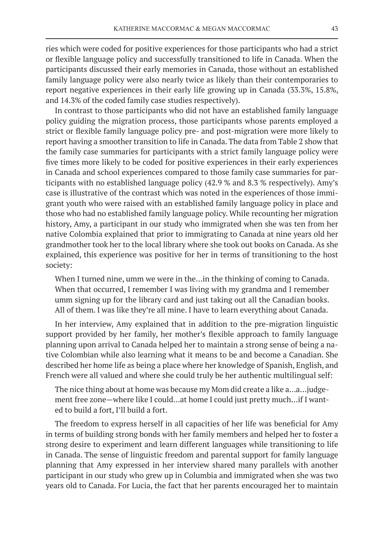ries which were coded for positive experiences for those participants who had a strict or flexible language policy and successfully transitioned to life in Canada. When the participants discussed their early memories in Canada, those without an established family language policy were also nearly twice as likely than their contemporaries to report negative experiences in their early life growing up in Canada (33.3%, 15.8%, and 14.3% of the coded family case studies respectively).

In contrast to those participants who did not have an established family language policy guiding the migration process, those participants whose parents employed a strict or flexible family language policy pre- and post-migration were more likely to report having a smoother transition to life in Canada. The data from Table 2 show that the family case summaries for participants with a strict family language policy were five times more likely to be coded for positive experiences in their early experiences in Canada and school experiences compared to those family case summaries for participants with no established language policy (42.9 % and 8.3 % respectively). Amy's case is illustrative of the contrast which was noted in the experiences of those immigrant youth who were raised with an established family language policy in place and those who had no established family language policy. While recounting her migration history, Amy, a participant in our study who immigrated when she was ten from her native Colombia explained that prior to immigrating to Canada at nine years old her grandmother took her to the local library where she took out books on Canada. As she explained, this experience was positive for her in terms of transitioning to the host society:

When I turned nine, umm we were in the…in the thinking of coming to Canada. When that occurred, I remember I was living with my grandma and I remember umm signing up for the library card and just taking out all the Canadian books. All of them. I was like they're all mine. I have to learn everything about Canada.

In her interview, Amy explained that in addition to the pre-migration linguistic support provided by her family, her mother's flexible approach to family language planning upon arrival to Canada helped her to maintain a strong sense of being a native Colombian while also learning what it means to be and become a Canadian. She described her home life as being a place where her knowledge of Spanish, English, and French were all valued and where she could truly be her authentic multilingual self:

The nice thing about at home was because my Mom did create a like a…a…judgement free zone—where like I could…at home I could just pretty much…if I wanted to build a fort, I'll build a fort.

The freedom to express herself in all capacities of her life was beneficial for Amy in terms of building strong bonds with her family members and helped her to foster a strong desire to experiment and learn different languages while transitioning to life in Canada. The sense of linguistic freedom and parental support for family language planning that Amy expressed in her interview shared many parallels with another participant in our study who grew up in Columbia and immigrated when she was two years old to Canada. For Lucia, the fact that her parents encouraged her to maintain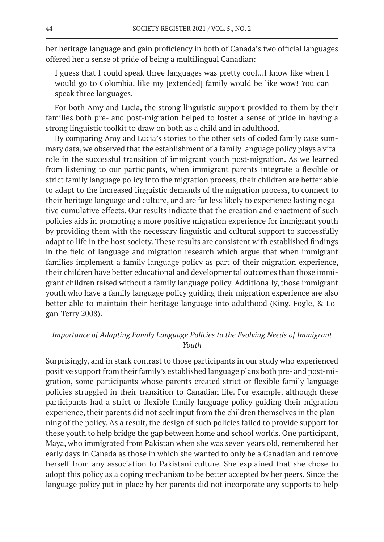her heritage language and gain proficiency in both of Canada's two official languages offered her a sense of pride of being a multilingual Canadian:

I guess that I could speak three languages was pretty cool…I know like when I would go to Colombia, like my [extended] family would be like wow! You can speak three languages.

For both Amy and Lucia, the strong linguistic support provided to them by their families both pre- and post-migration helped to foster a sense of pride in having a strong linguistic toolkit to draw on both as a child and in adulthood.

By comparing Amy and Lucia's stories to the other sets of coded family case summary data, we observed that the establishment of a family language policy plays a vital role in the successful transition of immigrant youth post-migration. As we learned from listening to our participants, when immigrant parents integrate a flexible or strict family language policy into the migration process, their children are better able to adapt to the increased linguistic demands of the migration process, to connect to their heritage language and culture, and are far less likely to experience lasting negative cumulative effects. Our results indicate that the creation and enactment of such policies aids in promoting a more positive migration experience for immigrant youth by providing them with the necessary linguistic and cultural support to successfully adapt to life in the host society. These results are consistent with established findings in the field of language and migration research which argue that when immigrant families implement a family language policy as part of their migration experience, their children have better educational and developmental outcomes than those immigrant children raised without a family language policy. Additionally, those immigrant youth who have a family language policy guiding their migration experience are also better able to maintain their heritage language into adulthood (King, Fogle, & Logan-Terry 2008).

# *Importance of Adapting Family Language Policies to the Evolving Needs of Immigrant Youth*

Surprisingly, and in stark contrast to those participants in our study who experienced positive support from their family's established language plans both pre- and post-migration, some participants whose parents created strict or flexible family language policies struggled in their transition to Canadian life. For example, although these participants had a strict or flexible family language policy guiding their migration experience, their parents did not seek input from the children themselves in the planning of the policy. As a result, the design of such policies failed to provide support for these youth to help bridge the gap between home and school worlds. One participant, Maya, who immigrated from Pakistan when she was seven years old, remembered her early days in Canada as those in which she wanted to only be a Canadian and remove herself from any association to Pakistani culture. She explained that she chose to adopt this policy as a coping mechanism to be better accepted by her peers. Since the language policy put in place by her parents did not incorporate any supports to help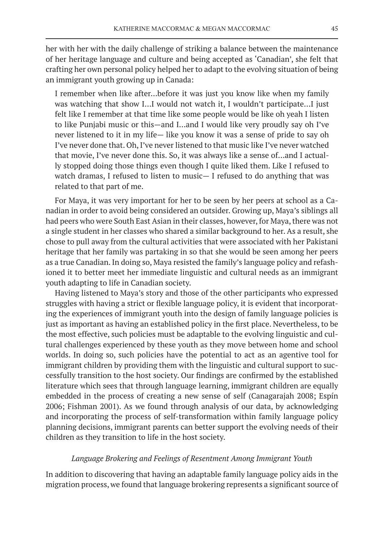her with her with the daily challenge of striking a balance between the maintenance of her heritage language and culture and being accepted as 'Canadian', she felt that crafting her own personal policy helped her to adapt to the evolving situation of being an immigrant youth growing up in Canada:

I remember when like after…before it was just you know like when my family was watching that show I…I would not watch it, I wouldn't participate…I just felt like I remember at that time like some people would be like oh yeah I listen to like Punjabi music or this—and I…and I would like very proudly say oh I've never listened to it in my life— like you know it was a sense of pride to say oh I've never done that. Oh, I've never listened to that music like I've never watched that movie, I've never done this. So, it was always like a sense of…and I actually stopped doing those things even though I quite liked them. Like I refused to watch dramas, I refused to listen to music— I refused to do anything that was related to that part of me.

For Maya, it was very important for her to be seen by her peers at school as a Canadian in order to avoid being considered an outsider. Growing up, Maya's siblings all had peers who were South East Asian in their classes, however, for Maya, there was not a single student in her classes who shared a similar background to her. As a result, she chose to pull away from the cultural activities that were associated with her Pakistani heritage that her family was partaking in so that she would be seen among her peers as a true Canadian. In doing so, Maya resisted the family's language policy and refashioned it to better meet her immediate linguistic and cultural needs as an immigrant youth adapting to life in Canadian society.

Having listened to Maya's story and those of the other participants who expressed struggles with having a strict or flexible language policy, it is evident that incorporating the experiences of immigrant youth into the design of family language policies is just as important as having an established policy in the first place. Nevertheless, to be the most effective, such policies must be adaptable to the evolving linguistic and cultural challenges experienced by these youth as they move between home and school worlds. In doing so, such policies have the potential to act as an agentive tool for immigrant children by providing them with the linguistic and cultural support to successfully transition to the host society. Our findings are confirmed by the established literature which sees that through language learning, immigrant children are equally embedded in the process of creating a new sense of self (Canagarajah 2008; Espín 2006; Fishman 2001). As we found through analysis of our data, by acknowledging and incorporating the process of self-transformation within family language policy planning decisions, immigrant parents can better support the evolving needs of their children as they transition to life in the host society.

# *Language Brokering and Feelings of Resentment Among Immigrant Youth*

In addition to discovering that having an adaptable family language policy aids in the migration process, we found that language brokering represents a significant source of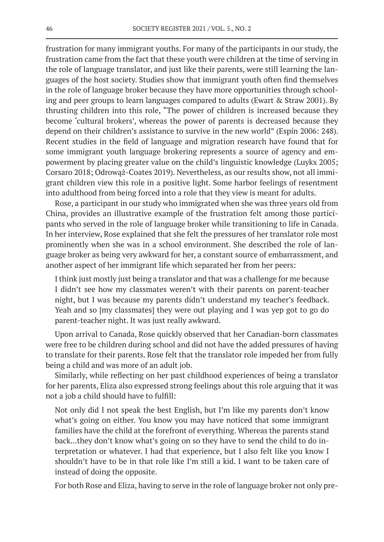frustration for many immigrant youths. For many of the participants in our study, the frustration came from the fact that these youth were children at the time of serving in the role of language translator, and just like their parents, were still learning the languages of the host society. Studies show that immigrant youth often find themselves in the role of language broker because they have more opportunities through schooling and peer groups to learn languages compared to adults (Ewart & Straw 2001). By thrusting children into this role, "The power of children is increased because they become 'cultural brokers', whereas the power of parents is decreased because they depend on their children's assistance to survive in the new world" (Espín 2006: 248). Recent studies in the field of language and migration research have found that for some immigrant youth language brokering represents a source of agency and empowerment by placing greater value on the child's linguistic knowledge (Luykx 2005; Corsaro 2018; Odrowąż-Coates 2019). Nevertheless, as our results show, not all immigrant children view this role in a positive light. Some harbor feelings of resentment into adulthood from being forced into a role that they view is meant for adults.

Rose, a participant in our study who immigrated when she was three years old from China, provides an illustrative example of the frustration felt among those participants who served in the role of language broker while transitioning to life in Canada. In her interview, Rose explained that she felt the pressures of her translator role most prominently when she was in a school environment. She described the role of language broker as being very awkward for her, a constant source of embarrassment, and another aspect of her immigrant life which separated her from her peers:

I think just mostly just being a translator and that was a challenge for me because I didn't see how my classmates weren't with their parents on parent-teacher night, but I was because my parents didn't understand my teacher's feedback. Yeah and so [my classmates] they were out playing and I was yep got to go do parent-teacher night. It was just really awkward.

Upon arrival to Canada, Rose quickly observed that her Canadian-born classmates were free to be children during school and did not have the added pressures of having to translate for their parents. Rose felt that the translator role impeded her from fully being a child and was more of an adult job.

Similarly, while reflecting on her past childhood experiences of being a translator for her parents, Eliza also expressed strong feelings about this role arguing that it was not a job a child should have to fulfill:

Not only did I not speak the best English, but I'm like my parents don't know what's going on either. You know you may have noticed that some immigrant families have the child at the forefront of everything. Whereas the parents stand back...they don't know what's going on so they have to send the child to do interpretation or whatever. I had that experience, but I also felt like you know I shouldn't have to be in that role like I'm still a kid. I want to be taken care of instead of doing the opposite.

For both Rose and Eliza, having to serve in the role of language broker not only pre-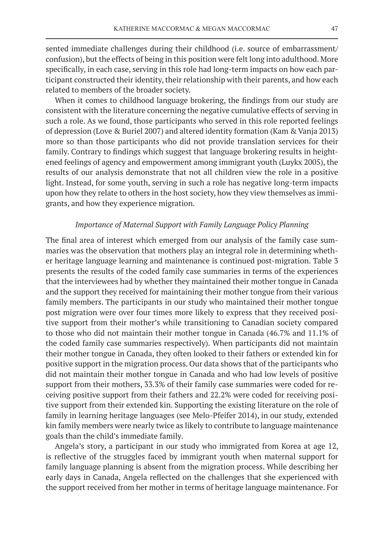sented immediate challenges during their childhood (i.e. source of embarrassment/ confusion), but the effects of being in this position were felt long into adulthood. More specifically, in each case, serving in this role had long-term impacts on how each participant constructed their identity, their relationship with their parents, and how each related to members of the broader society.

When it comes to childhood language brokering, the findings from our study are consistent with the literature concerning the negative cumulative effects of serving in such a role. As we found, those participants who served in this role reported feelings of depression (Love & Buriel 2007) and altered identity formation (Kam & Vanja 2013) more so than those participants who did not provide translation services for their family. Contrary to findings which suggest that language brokering results in heightened feelings of agency and empowerment among immigrant youth (Luykx 2005), the results of our analysis demonstrate that not all children view the role in a positive light. Instead, for some youth, serving in such a role has negative long-term impacts upon how they relate to others in the host society, how they view themselves as immigrants, and how they experience migration.

# *Importance of Maternal Support with Family Language Policy Planning*

The final area of interest which emerged from our analysis of the family case summaries was the observation that mothers play an integral role in determining whether heritage language learning and maintenance is continued post-migration. Table 3 presents the results of the coded family case summaries in terms of the experiences that the interviewees had by whether they maintained their mother tongue in Canada and the support they received for maintaining their mother tongue from their various family members. The participants in our study who maintained their mother tongue post migration were over four times more likely to express that they received positive support from their mother's while transitioning to Canadian society compared to those who did not maintain their mother tongue in Canada (46.7% and 11.1% of the coded family case summaries respectively). When participants did not maintain their mother tongue in Canada, they often looked to their fathers or extended kin for positive support in the migration process. Our data shows that of the participants who did not maintain their mother tongue in Canada and who had low levels of positive support from their mothers, 33.3% of their family case summaries were coded for receiving positive support from their fathers and 22.2% were coded for receiving positive support from their extended kin. Supporting the existing literature on the role of family in learning heritage languages (see Melo-Pfeifer 2014), in our study, extended kin family members were nearly twice as likely to contribute to language maintenance goals than the child's immediate family.

Angela's story, a participant in our study who immigrated from Korea at age 12, is reflective of the struggles faced by immigrant youth when maternal support for family language planning is absent from the migration process. While describing her early days in Canada, Angela reflected on the challenges that she experienced with the support received from her mother in terms of heritage language maintenance. For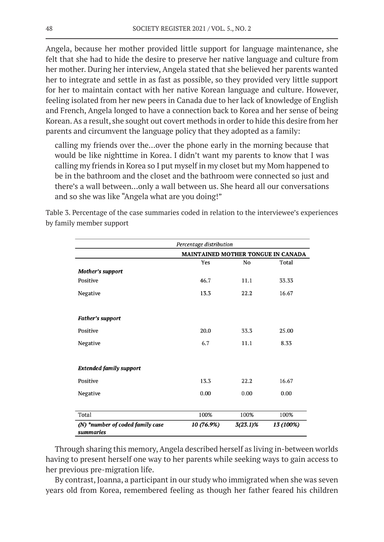Angela, because her mother provided little support for language maintenance, she felt that she had to hide the desire to preserve her native language and culture from her mother. During her interview, Angela stated that she believed her parents wanted her to integrate and settle in as fast as possible, so they provided very little support for her to maintain contact with her native Korean language and culture. However, feeling isolated from her new peers in Canada due to her lack of knowledge of English and French, Angela longed to have a connection back to Korea and her sense of being Korean. As a result, she sought out covert methods in order to hide this desire from her parents and circumvent the language policy that they adopted as a family:

calling my friends over the…over the phone early in the morning because that would be like nighttime in Korea. I didn't want my parents to know that I was calling my friends in Korea so I put myself in my closet but my Mom happened to be in the bathroom and the closet and the bathroom were connected so just and there's a wall between…only a wall between us. She heard all our conversations and so she was like "Angela what are you doing!"

Table 3. Percentage of the case summaries coded in relation to the interviewee's experiences by family member support

|                                               | Percentage distribution |                                           |           |  |  |
|-----------------------------------------------|-------------------------|-------------------------------------------|-----------|--|--|
|                                               |                         | <b>MAINTAINED MOTHER TONGUE IN CANADA</b> |           |  |  |
|                                               | Yes                     | No                                        | Total     |  |  |
| <b>Mother's support</b>                       |                         |                                           |           |  |  |
| Positive                                      | 46.7                    | 11.1                                      | 33.33     |  |  |
| Negative                                      | 13.3                    | 22.2                                      | 16.67     |  |  |
| <b>Father's support</b>                       |                         |                                           |           |  |  |
| Positive                                      | 20.0                    | 33.3                                      | 25.00     |  |  |
| Negative                                      | 6.7                     | 11.1                                      | 8.33      |  |  |
| <b>Extended family support</b>                |                         |                                           |           |  |  |
| Positive                                      | 13.3                    | 22.2                                      | 16.67     |  |  |
| Negative                                      | 0.00                    | 0.00                                      | 0.00      |  |  |
| Total                                         | 100%                    | 100%                                      | 100%      |  |  |
| (N) *number of coded family case<br>summaries | 10 (76.9%)              | $3(23.1)\%$                               | 13 (100%) |  |  |

Through sharing this memory, Angela described herself as living in-between worlds having to present herself one way to her parents while seeking ways to gain access to her previous pre-migration life.

By contrast, Joanna, a participant in our study who immigrated when she was seven years old from Korea, remembered feeling as though her father feared his children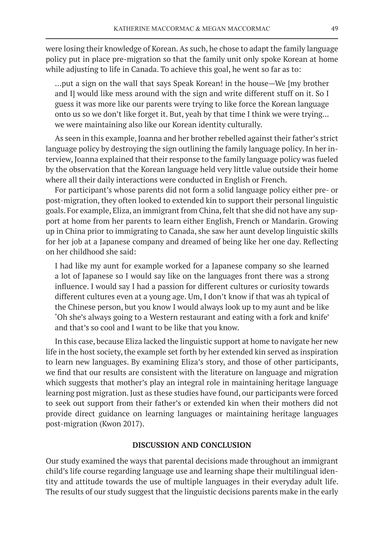were losing their knowledge of Korean. As such, he chose to adapt the family language policy put in place pre-migration so that the family unit only spoke Korean at home while adjusting to life in Canada. To achieve this goal, he went so far as to:

…put a sign on the wall that says Speak Korean! in the house—We [my brother and I] would like mess around with the sign and write different stuff on it. So I guess it was more like our parents were trying to like force the Korean language onto us so we don't like forget it. But, yeah by that time I think we were trying... we were maintaining also like our Korean identity culturally.

As seen in this example, Joanna and her brother rebelled against their father's strict language policy by destroying the sign outlining the family language policy. In her interview, Joanna explained that their response to the family language policy was fueled by the observation that the Korean language held very little value outside their home where all their daily interactions were conducted in English or French.

For participant's whose parents did not form a solid language policy either pre- or post-migration, they often looked to extended kin to support their personal linguistic goals. For example, Eliza, an immigrant from China, felt that she did not have any support at home from her parents to learn either English, French or Mandarin. Growing up in China prior to immigrating to Canada, she saw her aunt develop linguistic skills for her job at a Japanese company and dreamed of being like her one day. Reflecting on her childhood she said:

I had like my aunt for example worked for a Japanese company so she learned a lot of Japanese so I would say like on the languages front there was a strong influence. I would say I had a passion for different cultures or curiosity towards different cultures even at a young age. Um, I don't know if that was ah typical of the Chinese person, but you know I would always look up to my aunt and be like 'Oh she's always going to a Western restaurant and eating with a fork and knife' and that's so cool and I want to be like that you know.

In this case, because Eliza lacked the linguistic support at home to navigate her new life in the host society, the example set forth by her extended kin served as inspiration to learn new languages. By examining Eliza's story, and those of other participants, we find that our results are consistent with the literature on language and migration which suggests that mother's play an integral role in maintaining heritage language learning post migration. Just as these studies have found, our participants were forced to seek out support from their father's or extended kin when their mothers did not provide direct guidance on learning languages or maintaining heritage languages post-migration (Kwon 2017).

#### **DISCUSSION AND CONCLUSION**

Our study examined the ways that parental decisions made throughout an immigrant child's life course regarding language use and learning shape their multilingual identity and attitude towards the use of multiple languages in their everyday adult life. The results of our study suggest that the linguistic decisions parents make in the early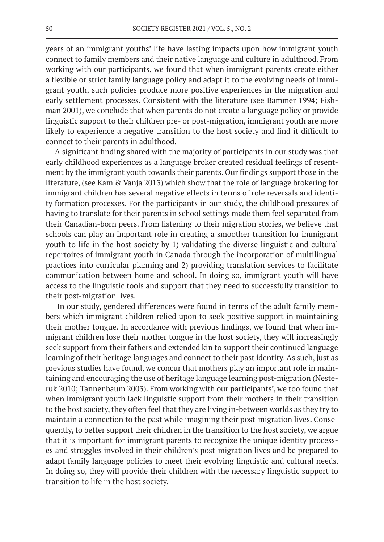years of an immigrant youths' life have lasting impacts upon how immigrant youth connect to family members and their native language and culture in adulthood. From working with our participants, we found that when immigrant parents create either a flexible or strict family language policy and adapt it to the evolving needs of immigrant youth, such policies produce more positive experiences in the migration and early settlement processes. Consistent with the literature (see Bammer 1994; Fishman 2001), we conclude that when parents do not create a language policy or provide linguistic support to their children pre- or post-migration, immigrant youth are more likely to experience a negative transition to the host society and find it difficult to connect to their parents in adulthood.

A significant finding shared with the majority of participants in our study was that early childhood experiences as a language broker created residual feelings of resentment by the immigrant youth towards their parents. Our findings support those in the literature, (see Kam & Vanja 2013) which show that the role of language brokering for immigrant children has several negative effects in terms of role reversals and identity formation processes. For the participants in our study, the childhood pressures of having to translate for their parents in school settings made them feel separated from their Canadian-born peers. From listening to their migration stories, we believe that schools can play an important role in creating a smoother transition for immigrant youth to life in the host society by 1) validating the diverse linguistic and cultural repertoires of immigrant youth in Canada through the incorporation of multilingual practices into curricular planning and 2) providing translation services to facilitate communication between home and school. In doing so, immigrant youth will have access to the linguistic tools and support that they need to successfully transition to their post-migration lives.

In our study, gendered differences were found in terms of the adult family members which immigrant children relied upon to seek positive support in maintaining their mother tongue. In accordance with previous findings, we found that when immigrant children lose their mother tongue in the host society, they will increasingly seek support from their fathers and extended kin to support their continued language learning of their heritage languages and connect to their past identity. As such, just as previous studies have found, we concur that mothers play an important role in maintaining and encouraging the use of heritage language learning post-migration (Nesteruk 2010; Tannenbaum 2003). From working with our participants', we too found that when immigrant youth lack linguistic support from their mothers in their transition to the host society, they often feel that they are living in-between worlds as they try to maintain a connection to the past while imagining their post-migration lives. Consequently, to better support their children in the transition to the host society, we argue that it is important for immigrant parents to recognize the unique identity processes and struggles involved in their children's post-migration lives and be prepared to adapt family language policies to meet their evolving linguistic and cultural needs. In doing so, they will provide their children with the necessary linguistic support to transition to life in the host society.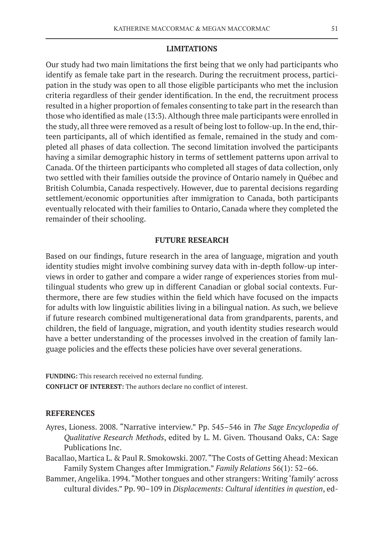#### **LIMITATIONS**

Our study had two main limitations the first being that we only had participants who identify as female take part in the research. During the recruitment process, participation in the study was open to all those eligible participants who met the inclusion criteria regardless of their gender identification. In the end, the recruitment process resulted in a higher proportion of females consenting to take part in the research than those who identified as male (13:3). Although three male participants were enrolled in the study, all three were removed as a result of being lost to follow-up. In the end, thirteen participants, all of which identified as female, remained in the study and completed all phases of data collection. The second limitation involved the participants having a similar demographic history in terms of settlement patterns upon arrival to Canada. Of the thirteen participants who completed all stages of data collection, only two settled with their families outside the province of Ontario namely in Québec and British Columbia, Canada respectively. However, due to parental decisions regarding settlement/economic opportunities after immigration to Canada, both participants eventually relocated with their families to Ontario, Canada where they completed the remainder of their schooling.

# **FUTURE RESEARCH**

Based on our findings, future research in the area of language, migration and youth identity studies might involve combining survey data with in-depth follow-up interviews in order to gather and compare a wider range of experiences stories from multilingual students who grew up in different Canadian or global social contexts. Furthermore, there are few studies within the field which have focused on the impacts for adults with low linguistic abilities living in a bilingual nation. As such, we believe if future research combined multigenerational data from grandparents, parents, and children, the field of language, migration, and youth identity studies research would have a better understanding of the processes involved in the creation of family language policies and the effects these policies have over several generations.

**FUNDING:** This research received no external funding. **CONFLICT OF INTEREST:** The authors declare no conflict of interest.

#### **REFERENCES**

- Ayres, Lioness. 2008. "Narrative interview." Pp. 545–546 in *The Sage Encyclopedia of Qualitative Research Methods*, edited by L. M. Given. Thousand Oaks, CA: Sage Publications Inc.
- Bacallao, Martica L. & Paul R. Smokowski. 2007. "The Costs of Getting Ahead: Mexican Family System Changes after Immigration." *Family Relations* 56(1): 52–66.
- Bammer, Angelika. 1994. "Mother tongues and other strangers: Writing 'family' across cultural divides." Pp. 90–109 in *Displacements: Cultural identities in question*, ed-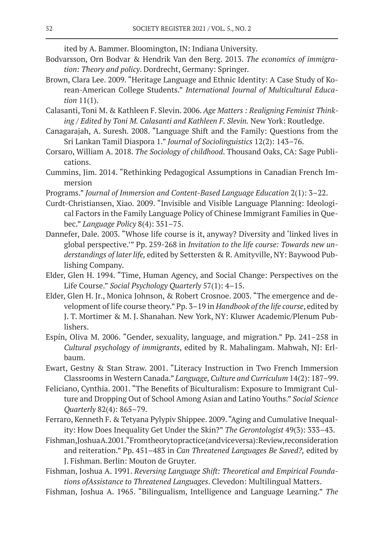ited by A. Bammer. Bloomington, IN: Indiana University.

- Bodvarsson, Orn Bodvar & Hendrik Van den Berg. 2013. *The economics of immigration: Theory and policy*. Dordrecht, Germany: Springer.
- Brown, Clara Lee. 2009. "Heritage Language and Ethnic Identity: A Case Study of Korean-American College Students." *International Journal of Multicultural Education* 11(1).
- Calasanti, Toni M. & Kathleen F. Slevin. 2006. *Age Matters : Realigning Feminist Thinking / Edited by Toni M. Calasanti and Kathleen F. Slevin.* New York: Routledge.
- Canagarajah, A. Suresh. 2008. "Language Shift and the Family: Questions from the Sri Lankan Tamil Diaspora 1." *Journal of Sociolinguistics* 12(2): 143–76.
- Corsaro, William A. 2018. *The Sociology of childhood*. Thousand Oaks, CA: Sage Publications.
- Cummins, Jim. 2014. "Rethinking Pedagogical Assumptions in Canadian French Immersion
- Programs." *Journal of Immersion and Content-Based Language Education* 2(1): 3–22.
- Curdt-Christiansen, Xiao. 2009. "Invisible and Visible Language Planning: Ideological Factors in the Family Language Policy of Chinese Immigrant Families in Quebec." *Language Policy* 8(4): 351–75.
- Dannefer, Dale. 2003. "Whose life course is it, anyway? Diversity and 'linked lives in global perspective.'" Pp. 259-268 in *Invitation to the life course: Towards new understandings of later life,* edited by Settersten & R. Amityville, NY: Baywood Publishing Company.
- Elder, Glen H. 1994. "Time, Human Agency, and Social Change: Perspectives on the Life Course." *Social Psychology Quarterly* 57(1): 4–15.
- Elder, Glen H. Jr., Monica Johnson, & Robert Crosnoe. 2003. "The emergence and development of life course theory." Pp. 3–19 in *Handbook of the life course*, edited by J. T. Mortimer & M. J. Shanahan. New York, NY: Kluwer Academic/Plenum Publishers.
- Espín, Oliva M. 2006. "Gender, sexuality, language, and migration." Pp. 241–258 in *Cultural psychology of immigrants*, edited by R. Mahalingam. Mahwah, NJ: Erlbaum.
- Ewart, Gestny & Stan Straw. 2001. "Literacy Instruction in Two French Immersion Classrooms in Western Canada." *Language, Culture and Curriculum* 14(2): 187–99.
- Feliciano, Cynthia. 2001. "The Benefits of Biculturalism: Exposure to Immigrant Culture and Dropping Out of School Among Asian and Latino Youths." *Social Science Quarterly* 82(4): 865–79.
- Ferraro, Kenneth F. & Tetyana Pylypiv Shippee. 2009. "Aging and Cumulative Inequality: How Does Inequality Get Under the Skin?" *The Gerontologist* 49(3): 333–43.
- Fishman, Joshua A. 2001. "From theory to practice (and vice versa): Review, reconsideration and reiteration." Pp. 451–483 in *Can Threatened Languages Be Saved?,* edited by J. Fishman. Berlin: Mouton de Gruyter.
- Fishman, Joshua A. 1991. *Reversing Language Shift: Theoretical and Empirical Foundations ofAssistance to Threatened Languages*. Clevedon: Multilingual Matters.
- Fishman, Joshua A. 1965. "Bilingualism, Intelligence and Language Learning." *The*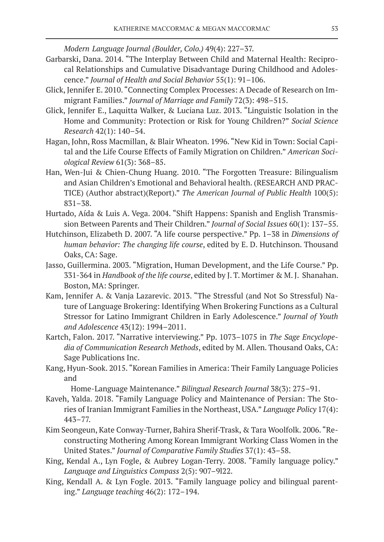*Modern Language Journal (Boulder, Colo.)* 49(4): 227–37.

- Garbarski, Dana. 2014. "The Interplay Between Child and Maternal Health: Reciprocal Relationships and Cumulative Disadvantage During Childhood and Adolescence." *Journal of Health and Social Behavior* 55(1): 91–106.
- Glick, Jennifer E. 2010. "Connecting Complex Processes: A Decade of Research on Immigrant Families." *Journal of Marriage and Family* 72(3): 498–515.
- Glick, Jennifer E., Laquitta Walker, & Luciana Luz. 2013. "Linguistic Isolation in the Home and Community: Protection or Risk for Young Children?" *Social Science Research* 42(1): 140–54.
- Hagan, John, Ross Macmillan, & Blair Wheaton. 1996. "New Kid in Town: Social Capital and the Life Course Effects of Family Migration on Children." *American Sociological Review* 61(3): 368–85.
- Han, Wen-Jui & Chien-Chung Huang. 2010. "The Forgotten Treasure: Bilingualism and Asian Children's Emotional and Behavioral health. (RESEARCH AND PRAC-TICE) (Author abstract)(Report)." *The American Journal of Public Health* 100(5): 831–38.
- Hurtado, Aída & Luis A. Vega. 2004. "Shift Happens: Spanish and English Transmission Between Parents and Their Children." *Journal of Social Issues* 60(1): 137–55.
- Hutchinson, Elizabeth D. 2007. "A life course perspective." Pp. 1–38 in *Dimensions of human behavior: The changing life course*, edited by E. D. Hutchinson. Thousand Oaks, CA: Sage.
- Jasso, Guillermina. 2003. "Migration, Human Development, and the Life Course." Pp. 331-364 in *Handbook of the life course*, edited by J. T. Mortimer & M. J. Shanahan. Boston, MA: Springer.
- Kam, Jennifer A. & Vanja Lazarevic. 2013. "The Stressful (and Not So Stressful) Nature of Language Brokering: Identifying When Brokering Functions as a Cultural Stressor for Latino Immigrant Children in Early Adolescence." *Journal of Youth and Adolescence* 43(12): 1994–2011.
- Kartch, Falon. 2017. "Narrative interviewing." Pp. 1073–1075 in *The Sage Encyclopedia of Communication Research Methods*, edited by M. Allen. Thousand Oaks, CA: Sage Publications Inc.
- Kang, Hyun-Sook. 2015. "Korean Families in America: Their Family Language Policies and

Home-Language Maintenance." *Bilingual Research Journal* 38(3): 275–91.

- Kaveh, Yalda. 2018. "Family Language Policy and Maintenance of Persian: The Stories of Iranian Immigrant Families in the Northeast, USA." *Language Policy* 17(4): 443–77.
- Kim Seongeun, Kate Conway-Turner, Bahira Sherif-Trask, & Tara Woolfolk. 2006. "Reconstructing Mothering Among Korean Immigrant Working Class Women in the United States." *Journal of Comparative Family Studies* 37(1): 43–58.
- King, Kendal A., Lyn Fogle, & Aubrey Logan-Terry. 2008. "Family language policy." *Language and Linguistics Compass* 2(5): 907–9l22.
- King, Kendall A. & Lyn Fogle. 2013. "Family language policy and bilingual parenting." *Language teaching* 46(2): 172–194.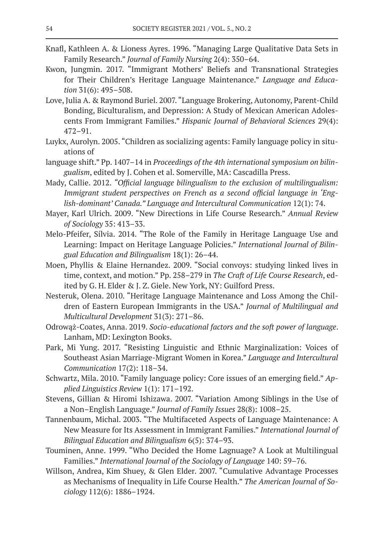- Knafl, Kathleen A. & Lioness Ayres. 1996. "Managing Large Qualitative Data Sets in Family Research." *Journal of Family Nursing* 2(4): 350–64.
- Kwon, Jungmin. 2017. "Immigrant Mothers' Beliefs and Transnational Strategies for Their Children's Heritage Language Maintenance." *Language and Education* 31(6): 495–508.
- Love, Julia A. & Raymond Buriel. 2007. "Language Brokering, Autonomy, Parent-Child Bonding, Biculturalism, and Depression: A Study of Mexican American Adolescents From Immigrant Families." *Hispanic Journal of Behavioral Sciences* 29(4): 472–91.
- Luykx, Aurolyn. 2005. "Children as socializing agents: Family language policy in situations of
- language shift." Pp. 1407–14 in *Proceedings of the 4th international symposium on bilingualism*, edited by J. Cohen et al. Somerville, MA: Cascadilla Press.
- Mady, Callie. 2012. *"Official language bilingualism to the exclusion of multilingualism: Immigrant student perspectives on French as a second official language in 'English-dominant' Canada." Language and Intercultural Communication* 12(1): 74.
- Mayer, Karl Ulrich. 2009. "New Directions in Life Course Research." *Annual Review of Sociology* 35: 413–33.
- Melo-Pfeifer, Sílvia. 2014. "The Role of the Family in Heritage Language Use and Learning: Impact on Heritage Language Policies." *International Journal of Bilingual Education and Bilingualism* 18(1): 26–44.
- Moen, Phyllis & Elaine Hernandez. 2009. "Social convoys: studying linked lives in time, context, and motion." Pp. 258–279 in *The Craft of Life Course Research*, edited by G. H. Elder & J. Z. Giele. New York, NY: Guilford Press.
- Nesteruk, Olena. 2010. "Heritage Language Maintenance and Loss Among the Children of Eastern European Immigrants in the USA." *Journal of Multilingual and Multicultural Development* 31(3): 271–86.
- Odrowąż-Coates, Anna. 2019. *Socio-educational factors and the soft power of language*. Lanham, MD: Lexington Books.
- Park, Mi Yung. 2017. "Resisting Linguistic and Ethnic Marginalization: Voices of Southeast Asian Marriage-Migrant Women in Korea." *Language and Intercultural Communication* 17(2): 118–34.
- Schwartz, Mila. 2010. "Family language policy: Core issues of an emerging field." *Applied Linguistics Review* 1(1): 171–192.
- Stevens, Gillian & Hiromi Ishizawa. 2007. "Variation Among Siblings in the Use of a Non–English Language." *Journal of Family Issues* 28(8): 1008–25.
- Tannenbaum, Michal. 2003. "The Multifaceted Aspects of Language Maintenance: A New Measure for Its Assessment in Immigrant Families." *International Journal of Bilingual Education and Bilingualism* 6(5): 374–93.
- Touminen, Anne. 1999. "Who Decided the Home Lagnuage? A Look at Multilingual Families." *International Journal of the Sociology of Language* 140: 59–76.
- Willson, Andrea, Kim Shuey, & Glen Elder. 2007. "Cumulative Advantage Processes as Mechanisms of Inequality in Life Course Health." *The American Journal of Sociology* 112(6): 1886–1924.